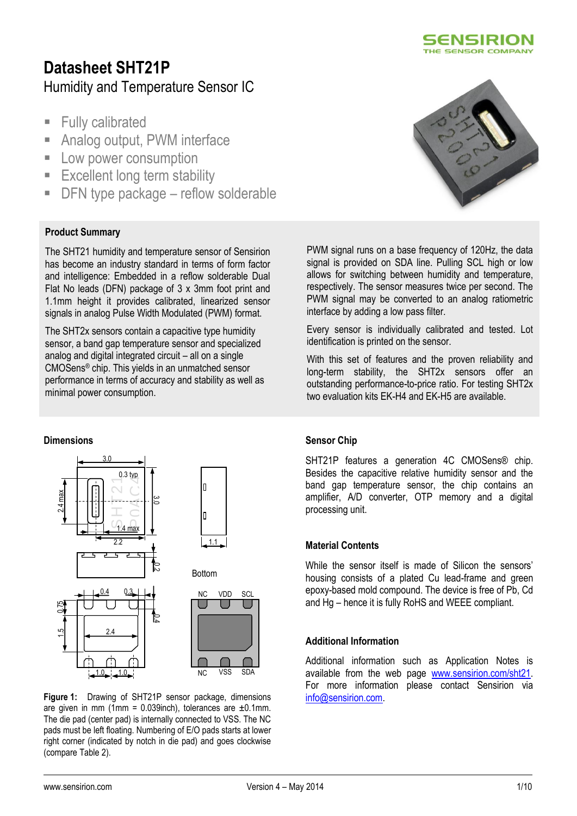

# **Datasheet SHT21P** Humidity and Temperature Sensor IC

- **Fully calibrated**
- **Analog output, PWM interface**
- **Low power consumption**
- **Excellent long term stability**
- DFN type package reflow solderable

### **Product Summary**

The SHT21 humidity and temperature sensor of Sensirion has become an industry standard in terms of form factor and intelligence: Embedded in a reflow solderable Dual Flat No leads (DFN) package of 3 x 3mm foot print and 1.1mm height it provides calibrated, linearized sensor signals in analog Pulse Width Modulated (PWM) format.

The SHT2x sensors contain a capacitive type humidity sensor, a band gap temperature sensor and specialized analog and digital integrated circuit – all on a single CMOSens® chip. This yields in an unmatched sensor performance in terms of accuracy and stability as well as minimal power consumption.

### **Dimensions**



**Figure 1:** Drawing of SHT21P sensor package, dimensions are given in mm (1mm =  $0.039$ inch), tolerances are  $\pm 0.1$ mm. The die pad (center pad) is internally connected to VSS. The NC pads must be left floating. Numbering of E/O pads starts at lower right corner (indicated by notch in die pad) and goes clockwise (compare Table 2).



PWM signal runs on a base frequency of 120Hz, the data signal is provided on SDA line. Pulling SCL high or low allows for switching between humidity and temperature, respectively. The sensor measures twice per second. The PWM signal may be converted to an analog ratiometric interface by adding a low pass filter.

Every sensor is individually calibrated and tested. Lot identification is printed on the sensor.

With this set of features and the proven reliability and long-term stability, the SHT2x sensors offer an outstanding performance-to-price ratio. For testing SHT2x two evaluation kits EK-H4 and EK-H5 are available.

### **Sensor Chip**

SHT21P features a generation 4C CMOSens® chip. Besides the capacitive relative humidity sensor and the band gap temperature sensor, the chip contains an amplifier, A/D converter, OTP memory and a digital processing unit.

#### **Material Contents**

While the sensor itself is made of Silicon the sensors' housing consists of a plated Cu lead-frame and green epoxy-based mold compound. The device is free of Pb, Cd and Hg – hence it is fully RoHS and WEEE compliant.

### **Additional Information**

Additional information such as Application Notes is available from the web page [www.sensirion.com/sht21.](http://www.sensirion.com/sht21) For more information please contact Sensirion via [info@sensirion.com.](mailto:info@sensirion.com)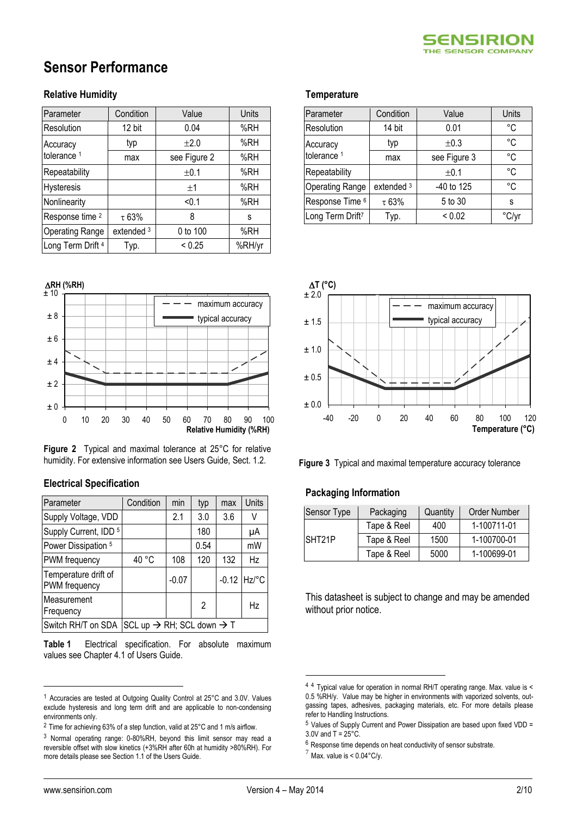

# **Sensor Performance**

### **Relative Humidity**

| Parameter                  | Condition  | Value        | Units  |
|----------------------------|------------|--------------|--------|
| Resolution                 | 12 bit     | 0.04         | %RH    |
| Accuracy                   | typ        | ±2.0         | %RH    |
| tolerance <sup>1</sup>     | max        | see Figure 2 | %RH    |
| Repeatability              |            | ±0.1         | %RH    |
| Hysteresis                 |            | ±1           | %RH    |
| Nonlinearity               |            | < 0.1        | %RH    |
| Response time <sup>2</sup> | $\tau$ 63% | 8            | s      |
| <b>Operating Range</b>     | extended 3 | 0 to 100     | %RH    |
| Long Term Drift 4          | Tур.       | < 0.25       | %RH/yr |



**Figure 2** Typical and maximal tolerance at 25°C for relative humidity. For extensive information see Users Guide, Sect. 1.2.

### **Electrical Specification**

| Parameter                             | Condition                                         | min     | typ  | max | <b>Units</b>  |
|---------------------------------------|---------------------------------------------------|---------|------|-----|---------------|
| Supply Voltage, VDD                   |                                                   | 2.1     | 3.0  | 3.6 | V             |
| Supply Current, IDD <sup>5</sup>      |                                                   |         | 180  |     | μA            |
| Power Dissipation 5                   |                                                   |         | 0.54 |     | mW            |
| PWM frequency                         | 40 °C                                             | 108     | 120  | 132 | Hz            |
| Temperature drift of<br>PWM frequency |                                                   | $-0.07$ |      |     | $-0.12$ Hz/°C |
| Measurement<br>Frequency              |                                                   |         | 2    |     | Hz            |
| Switch RH/T on SDA                    | SCL up $\rightarrow$ RH; SCL down $\rightarrow$ T |         |      |     |               |

<span id="page-1-0"></span>**Table 1** Electrical specification. For absolute maximum values see Chapter 4.1 of Users Guide.

#### **Temperature**

| Parameter                            | Condition  | Value        | Units |
|--------------------------------------|------------|--------------|-------|
| Resolution                           | 14 bit     | 0.01         | °C    |
| Accuracy                             | typ        | $\pm 0.3$    | °C    |
| tolerance <sup>1</sup>               | max        | see Figure 3 | °C    |
| Repeatability                        |            | ±0.1         | °C    |
| <b>Operating Range</b>               | extended 3 | -40 to 125   | °C    |
| Response Time <sup>6</sup>           | $\tau$ 63% | 5 to 30      | S     |
| Long Term Drift <sup>7</sup><br>Typ. |            | < 0.02       | °C/vr |



**Figure 3** Typical and maximal temperature accuracy tolerance

#### **Packaging Information**

| Sensor Type         | Packaging   | Quantity | <b>Order Number</b> |
|---------------------|-------------|----------|---------------------|
| SHT <sub>21</sub> P | Tape & Reel | 400      | 1-100711-01         |
|                     | Tape & Reel | 1500     | 1-100700-01         |
|                     | Tape & Reel | 5000     | 1-100699-01         |

This datasheet is subject to change and may be amended without prior notice.

 $\overline{a}$ 

1

<sup>1</sup> Accuracies are tested at Outgoing Quality Control at 25°C and 3.0V. Values exclude hysteresis and long term drift and are applicable to non-condensing environments only.

<sup>2</sup> Time for achieving 63% of a step function, valid at 25°C and 1 m/s airflow.

<sup>3</sup> Normal operating range: 0-80%RH, beyond this limit sensor may read a reversible offset with slow kinetics (+3%RH after 60h at humidity >80%RH). For more details please see Section 1.1 of the Users Guide.

<sup>4</sup> <sup>4</sup> Typical value for operation in normal RH/T operating range. Max. value is < 0.5 %RH/y. Value may be higher in environments with vaporized solvents, outgassing tapes, adhesives, packaging materials, etc. For more details please refer to Handling Instructions.

 $5$  Values of Supply Current and Power Dissipation are based upon fixed VDD =  $3.0V$  and T =  $25^{\circ}$ C.

<sup>6</sup> Response time depends on heat conductivity of sensor substrate.

 $^7$  Max. value is < 0.04°C/y.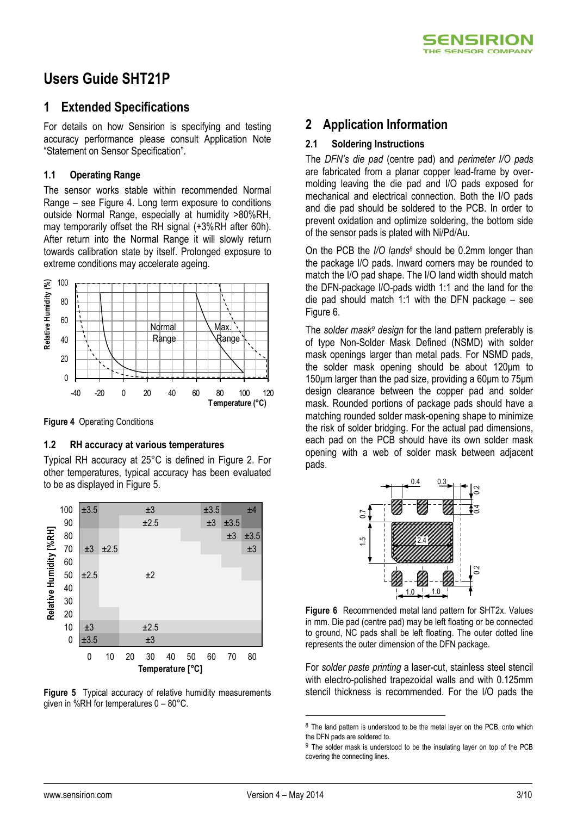

## **Users Guide SHT21P**

## **1 Extended Specifications**

For details on how Sensirion is specifying and testing accuracy performance please consult Application Note "Statement on Sensor Specification".

### **1.1 Operating Range**

The sensor works stable within recommended Normal Range – see Figure 4. Long term exposure to conditions outside Normal Range, especially at humidity >80%RH, may temporarily offset the RH signal (+3%RH after 60h). After return into the Normal Range it will slowly return towards calibration state by itself. Prolonged exposure to extreme conditions may accelerate ageing.



**Figure 4** Operating Conditions

### **1.2 RH accuracy at various temperatures**

Typical RH accuracy at 25°C is defined in Figure 2. For other temperatures, typical accuracy has been evaluated to be as displayed in [Figure 5.](#page-2-0)



<span id="page-2-0"></span>**Figure 5** Typical accuracy of relative humidity measurements given in %RH for temperatures 0 – 80°C.

## **2 Application Information**

### **2.1 Soldering Instructions**

The *DFN's die pad* (centre pad) and *perimeter I/O pads* are fabricated from a planar copper lead-frame by overmolding leaving the die pad and I/O pads exposed for mechanical and electrical connection. Both the I/O pads and die pad should be soldered to the PCB. In order to prevent oxidation and optimize soldering, the bottom side of the sensor pads is plated with Ni/Pd/Au.

On the PCB the *I/O lands<sup>8</sup>* should be 0.2mm longer than the package I/O pads. Inward corners may be rounded to match the I/O pad shape. The I/O land width should match the DFN-package I/O-pads width 1:1 and the land for the die pad should match 1:1 with the DFN package – see [Figure 6.](#page-2-1)

The *solder mask<sup>9</sup> design* for the land pattern preferably is of type Non-Solder Mask Defined (NSMD) with solder mask openings larger than metal pads. For NSMD pads, the solder mask opening should be about 120μm to 150μm larger than the pad size, providing a 60μm to 75μm design clearance between the copper pad and solder mask. Rounded portions of package pads should have a matching rounded solder mask-opening shape to minimize the risk of solder bridging. For the actual pad dimensions, each pad on the PCB should have its own solder mask opening with a web of solder mask between adjacent pads.



<span id="page-2-1"></span>**Figure 6** Recommended metal land pattern for SHT2x. Values in mm. Die pad (centre pad) may be left floating or be connected to ground, NC pads shall be left floating. The outer dotted line represents the outer dimension of the DFN package.

For *solder paste printing* a laser-cut, stainless steel stencil with electro-polished trapezoidal walls and with 0.125mm stencil thickness is recommended. For the I/O pads the

1

<sup>&</sup>lt;sup>8</sup> The land pattern is understood to be the metal layer on the PCB, onto which the DFN pads are soldered to.

<sup>&</sup>lt;sup>9</sup> The solder mask is understood to be the insulating layer on top of the PCB covering the connecting lines.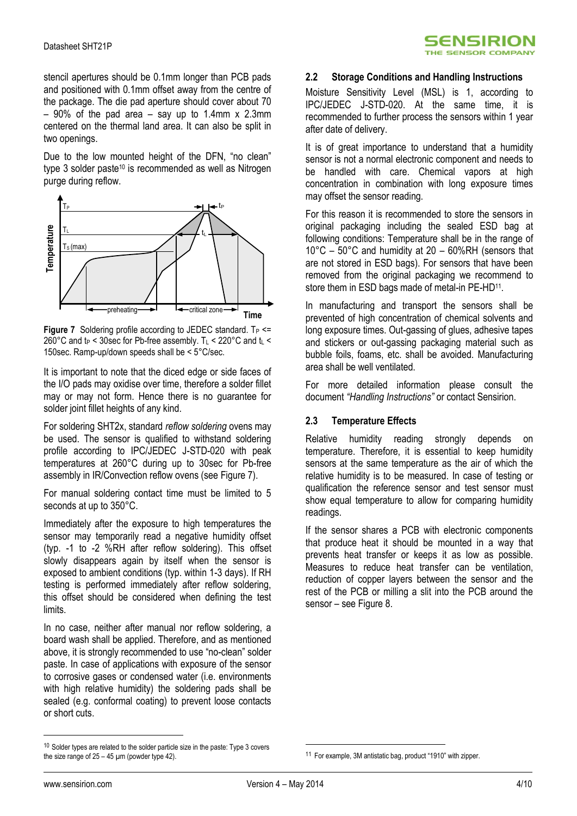stencil apertures should be 0.1mm longer than PCB pads and positioned with 0.1mm offset away from the centre of the package. The die pad aperture should cover about 70  $-90\%$  of the pad area  $-$  say up to 1.4mm x 2.3mm centered on the thermal land area. It can also be split in two openings.

Due to the low mounted height of the DFN, "no clean" type 3 solder paste<sup>10</sup> is recommended as well as Nitrogen purge during reflow.



<span id="page-3-0"></span>**Figure 7** Soldering profile according to JEDEC standard.  $T_P \leq$ 260°C and  $t_P$  < 30sec for Pb-free assembly. T<sub>L</sub> < 220°C and  $t_L$  < 150sec. Ramp-up/down speeds shall be < 5°C/sec.

It is important to note that the diced edge or side faces of the I/O pads may oxidise over time, therefore a solder fillet may or may not form. Hence there is no guarantee for solder joint fillet heights of any kind.

For soldering SHT2x, standard *reflow soldering* ovens may be used. The sensor is qualified to withstand soldering profile according to IPC/JEDEC J-STD-020 with peak temperatures at 260°C during up to 30sec for Pb-free assembly in IR/Convection reflow ovens (se[e Figure 7\)](#page-3-0).

For manual soldering contact time must be limited to 5 seconds at up to 350°C.

Immediately after the exposure to high temperatures the sensor may temporarily read a negative humidity offset (typ. -1 to -2 %RH after reflow soldering). This offset slowly disappears again by itself when the sensor is exposed to ambient conditions (typ. within 1-3 days). If RH testing is performed immediately after reflow soldering, this offset should be considered when defining the test limits.

In no case, neither after manual nor reflow soldering, a board wash shall be applied. Therefore, and as mentioned above, it is strongly recommended to use "no-clean" solder paste. In case of applications with exposure of the sensor to corrosive gases or condensed water (i.e. environments with high relative humidity) the soldering pads shall be sealed (e.g. conformal coating) to prevent loose contacts or short cuts.

### **2.2 Storage Conditions and Handling Instructions**

Moisture Sensitivity Level (MSL) is 1, according to IPC/JEDEC J-STD-020. At the same time, it is recommended to further process the sensors within 1 year after date of delivery.

It is of great importance to understand that a humidity sensor is not a normal electronic component and needs to be handled with care. Chemical vapors at high concentration in combination with long exposure times may offset the sensor reading.

For this reason it is recommended to store the sensors in original packaging including the sealed ESD bag at following conditions: Temperature shall be in the range of 10°C – 50°C and humidity at 20 – 60%RH (sensors that are not stored in ESD bags). For sensors that have been removed from the original packaging we recommend to store them in ESD bags made of metal-in PE-HD<sup>11</sup>.

In manufacturing and transport the sensors shall be prevented of high concentration of chemical solvents and long exposure times. Out-gassing of glues, adhesive tapes and stickers or out-gassing packaging material such as bubble foils, foams, etc. shall be avoided. Manufacturing area shall be well ventilated.

For more detailed information please consult the document *"Handling Instructions"* or contact Sensirion.

### **2.3 Temperature Effects**

Relative humidity reading strongly depends on temperature. Therefore, it is essential to keep humidity sensors at the same temperature as the air of which the relative humidity is to be measured. In case of testing or qualification the reference sensor and test sensor must show equal temperature to allow for comparing humidity readings.

If the sensor shares a PCB with electronic components that produce heat it should be mounted in a way that prevents heat transfer or keeps it as low as possible. Measures to reduce heat transfer can be ventilation, reduction of copper layers between the sensor and the rest of the PCB or milling a slit into the PCB around the sensor – se[e Figure 8.](#page-4-0)

 $\overline{a}$ 

1

 $10$  Solder types are related to the solder particle size in the paste: Type 3 covers the size range of  $25 - 45$  µm (powder type 42).

<sup>11</sup> For example, 3M antistatic bag, product "1910" with zipper.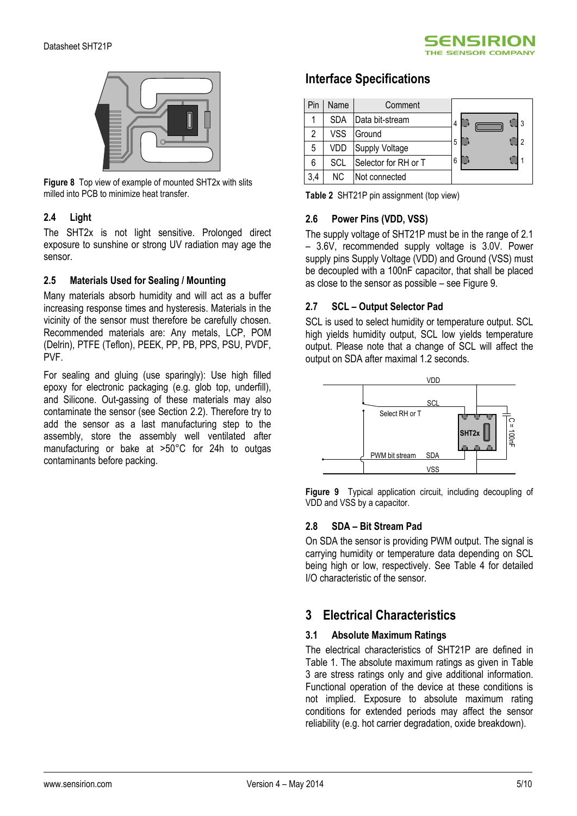



**Figure 8** Top view of example of mounted SHT2x with slits milled into PCB to minimize heat transfer.

### <span id="page-4-0"></span>**2.4 Light**

The SHT2x is not light sensitive. Prolonged direct exposure to sunshine or strong UV radiation may age the sensor.

### **2.5 Materials Used for Sealing / Mounting**

Many materials absorb humidity and will act as a buffer increasing response times and hysteresis. Materials in the vicinity of the sensor must therefore be carefully chosen. Recommended materials are: Any metals, LCP, POM (Delrin), PTFE (Teflon), PEEK, PP, PB, PPS, PSU, PVDF, PVF.

For sealing and gluing (use sparingly): Use high filled epoxy for electronic packaging (e.g. glob top, underfill), and Silicone. Out-gassing of these materials may also contaminate the sensor (see Section 2.2). Therefore try to add the sensor as a last manufacturing step to the assembly, store the assembly well ventilated after manufacturing or bake at >50°C for 24h to outgas contaminants before packing.

### **Interface Specifications**

|     | Name | Comment              |   |
|-----|------|----------------------|---|
|     | SDA  | Data bit-stream      | 4 |
| 2   | VSS  | Ground               | າ |
| 5   | VDD  | Supply Voltage       | 5 |
| 6   | SCL  | Selector for RH or T | 6 |
| 3,4 | NC.  | Not connected        |   |

**Table 2** SHT21P pin assignment (top view)

### **2.6 Power Pins (VDD, VSS)**

The supply voltage of SHT21P must be in the range of 2.1 – 3.6V, recommended supply voltage is 3.0V. Power supply pins Supply Voltage (VDD) and Ground (VSS) must be decoupled with a 100nF capacitor, that shall be placed as close to the sensor as possible – see [Figure 9.](#page-4-1)

### **2.7 SCL – Output Selector Pad**

SCL is used to select humidity or temperature output. SCL high yields humidity output, SCL low yields temperature output. Please note that a change of SCL will affect the output on SDA after maximal 1.2 seconds.



<span id="page-4-1"></span>**Figure 9** Typical application circuit, including decoupling of VDD and VSS by a capacitor.

### **2.8 SDA – Bit Stream Pad**

On SDA the sensor is providing PWM output. The signal is carrying humidity or temperature data depending on SCL being high or low, respectively. See [Table 4](#page-5-0) for detailed I/O characteristic of the sensor.

## **3 Electrical Characteristics**

### **3.1 Absolute Maximum Ratings**

The electrical characteristics of SHT21P are defined in [Table 1.](#page-1-0) The absolute maximum ratings as given in [Table](#page-5-1)  [3](#page-5-1) are stress ratings only and give additional information. Functional operation of the device at these conditions is not implied. Exposure to absolute maximum rating conditions for extended periods may affect the sensor reliability (e.g. hot carrier degradation, oxide breakdown).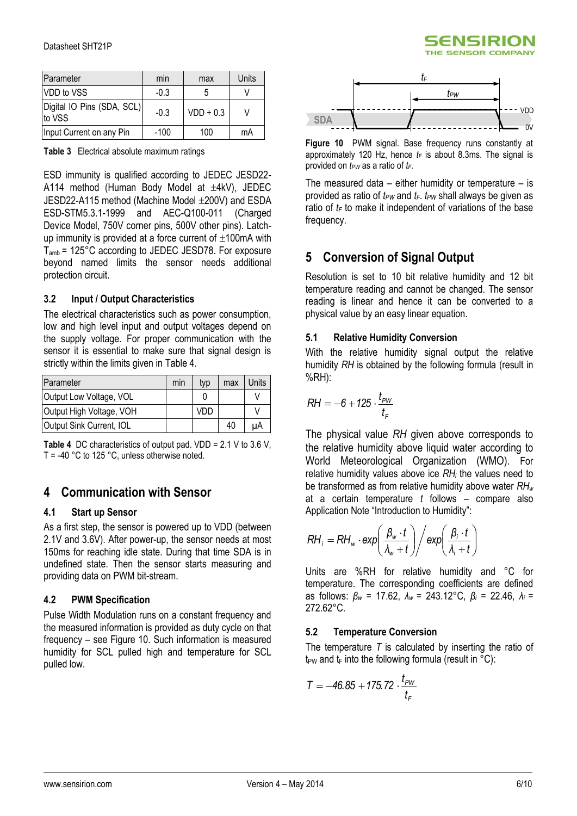

| Parameter                            | min    | max         | Units |
|--------------------------------------|--------|-------------|-------|
| VDD to VSS                           | $-0.3$ |             |       |
| Digital IO Pins (SDA, SCL)<br>to VSS | $-0.3$ | $VDD + 0.3$ |       |
| Input Current on any Pin             | $-100$ | 100         | mA    |

<span id="page-5-1"></span>**Table 3** Electrical absolute maximum ratings

ESD immunity is qualified according to JEDEC JESD22- A114 method (Human Body Model at  $\pm$ 4kV), JEDEC JESD22-A115 method (Machine Model ±200V) and ESDA ESD-STM5.3.1-1999 and AEC-Q100-011 (Charged Device Model, 750V corner pins, 500V other pins). Latchup immunity is provided at a force current of  $\pm 100$ mA with Tamb = 125°C according to JEDEC JESD78. For exposure beyond named limits the sensor needs additional protection circuit.

### **3.2 Input / Output Characteristics**

The electrical characteristics such as power consumption, low and high level input and output voltages depend on the supply voltage. For proper communication with the sensor it is essential to make sure that signal design is strictly within the limits given in [Table 4.](#page-5-0)

| Parameter                | min | typ | max | Units |
|--------------------------|-----|-----|-----|-------|
| Output Low Voltage, VOL  |     |     |     |       |
| Output High Voltage, VOH |     | VDD |     |       |
| Output Sink Current, IOL |     |     | 40  | uA    |

<span id="page-5-0"></span>**Table 4** DC characteristics of output pad. VDD = 2.1 V to 3.6 V,  $T = -40$  °C to 125 °C, unless otherwise noted.

### **4 Communication with Sensor**

### **4.1 Start up Sensor**

As a first step, the sensor is powered up to VDD (between 2.1V and 3.6V). After power-up, the sensor needs at most 150ms for reaching idle state. During that time SDA is in undefined state. Then the sensor starts measuring and providing data on PWM bit-stream.

### **4.2 PWM Specification**

Pulse Width Modulation runs on a constant frequency and the measured information is provided as duty cycle on that frequency – see [Figure 10.](#page-5-2) Such information is measured humidity for SCL pulled high and temperature for SCL pulled low.



<span id="page-5-2"></span>**Figure 10** PWM signal. Base frequency runs constantly at approximately 120 Hz, hence  $t_F$  is about 8.3ms. The signal is provided on *tPW* as a ratio of *tF*.

The measured data  $-$  either humidity or temperature  $-$  is provided as ratio of  $t_{PW}$  and  $t_F$ .  $t_{PW}$  shall always be given as ratio of  $t_F$  to make it independent of variations of the base frequency.

### **5 Conversion of Signal Output**

Resolution is set to 10 bit relative humidity and 12 bit temperature reading and cannot be changed. The sensor reading is linear and hence it can be converted to a physical value by an easy linear equation.

### **5.1 Relative Humidity Conversion**

With the relative humidity signal output the relative humidity *RH* is obtained by the following formula (result in %RH):

$$
RH=-6+125\cdot\frac{t_{\scriptscriptstyle PW}}{t_{\scriptscriptstyle F}}
$$

The physical value *RH* given above corresponds to the relative humidity above liquid water according to World Meteorological Organization (WMO). For relative humidity values above ice *RH<sup>i</sup>* the values need to be transformed as from relative humidity above water *RH<sup>w</sup>* at a certain temperature *t* follows – compare also Application Note "Introduction to Humidity":

$$
RH_{i} = RH_{w} \cdot \exp\left(\frac{\beta_{w} \cdot t}{\lambda_{w} + t}\right) / \exp\left(\frac{\beta_{i} \cdot t}{\lambda_{i} + t}\right)
$$

Units are %RH for relative humidity and °C for temperature. The corresponding coefficients are defined as follows: *β<sup>w</sup>* = 17.62, *λ<sup>w</sup>* = 243.12°C, *β<sup>i</sup>* = 22.46, *λ<sup>i</sup>* = 272.62°C.

### **5.2 Temperature Conversion**

The temperature *T* is calculated by inserting the ratio of t<sub>PW</sub> and  $t_F$  into the following formula (result in  $\degree$ C):

$$
T = -46.85 + 175.72 \cdot \frac{t_{\text{pW}}}{t_{\text{F}}}
$$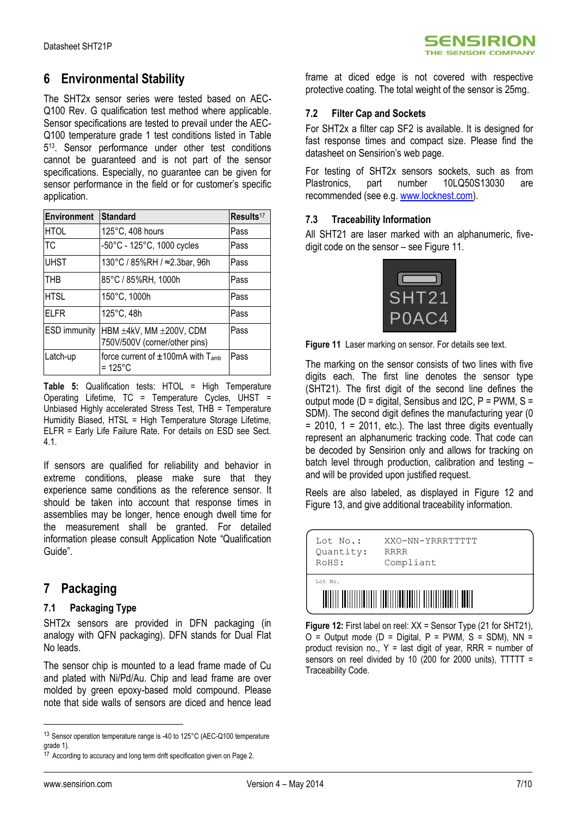## **6 Environmental Stability**

The SHT2x sensor series were tested based on AEC-Q100 Rev. G qualification test method where applicable. Sensor specifications are tested to prevail under the AEC-Q100 temperature grade 1 test conditions listed in [Table](#page-6-0)  [5](#page-6-0) 13 . Sensor performance under other test conditions cannot be guaranteed and is not part of the sensor specifications. Especially, no guarantee can be given for sensor performance in the field or for customer's specific application.

| <b>Environment</b>  | <b>Standard</b>                                                | Results <sup>17</sup> |
|---------------------|----------------------------------------------------------------|-----------------------|
| <b>HTOL</b>         | 125°C, 408 hours                                               | Pass                  |
| TC                  | -50°C - 125°C, 1000 cycles                                     | Pass                  |
| <b>UHST</b>         | 130°C / 85%RH / ≈2.3bar, 96h                                   | Pass                  |
| THB                 | 85°C / 85%RH, 1000h                                            | Pass                  |
| <b>HTSL</b>         | 150°C, 1000h                                                   | Pass                  |
| FLFR                | 125°C, 48h                                                     | Pass                  |
| <b>ESD</b> immunity | HBM ±4kV, MM ±200V, CDM<br>750V/500V (corner/other pins)       | Pass                  |
| Latch-up            | force current of $\pm 100$ mA with T <sub>amb</sub><br>= 125°C | Pass                  |

<span id="page-6-0"></span>**Table 5:** Qualification tests: HTOL = High Temperature Operating Lifetime, TC = Temperature Cycles, UHST = Unbiased Highly accelerated Stress Test, THB = Temperature Humidity Biased, HTSL = High Temperature Storage Lifetime, ELFR = Early Life Failure Rate. For details on ESD see Sect. 4.1.

If sensors are qualified for reliability and behavior in extreme conditions, please make sure that they experience same conditions as the reference sensor. It should be taken into account that response times in assemblies may be longer, hence enough dwell time for the measurement shall be granted. For detailed information please consult Application Note "Qualification Guide".

### **7 Packaging**

### **7.1 Packaging Type**

SHT2x sensors are provided in DFN packaging (in analogy with QFN packaging). DFN stands for Dual Flat No leads.

The sensor chip is mounted to a lead frame made of Cu and plated with Ni/Pd/Au. Chip and lead frame are over molded by green epoxy-based mold compound. Please note that side walls of sensors are diced and hence lead

frame at diced edge is not covered with respective protective coating. The total weight of the sensor is 25mg.

### **7.2 Filter Cap and Sockets**

For SHT2x a filter cap SF2 is available. It is designed for fast response times and compact size. Please find the datasheet on Sensirion's web page.

For testing of SHT2x sensors sockets, such as from Plastronics, part number 10LQ50S13030 are recommended (see e.g. [www.locknest.com\)](http://www.locknest.com/).

### **7.3 Traceability Information**

All SHT21 are laser marked with an alphanumeric, fivedigit code on the sensor – see [Figure 11.](#page-6-1)



<span id="page-6-1"></span>**Figure 11** Laser marking on sensor. For details see text.

The marking on the sensor consists of two lines with five digits each. The first line denotes the sensor type (SHT21). The first digit of the second line defines the output mode ( $D =$  digital, Sensibus and I2C,  $P =$  PWM, S = SDM). The second digit defines the manufacturing year (0  $= 2010$ ,  $1 = 2011$ , etc.). The last three digits eventually represent an alphanumeric tracking code. That code can be decoded by Sensirion only and allows for tracking on batch level through production, calibration and testing and will be provided upon justified request.

Reels are also labeled, as displayed in [Figure 12](#page-6-2) and [Figure 13,](#page-7-0) and give additional traceability information.



<span id="page-6-2"></span>**Figure 12:** First label on reel: XX = Sensor Type (21 for SHT21),  $O =$  Output mode ( $D =$  Digital,  $P =$  PWM,  $S =$  SDM), NN = product revision no.,  $Y =$  last digit of year, RRR = number of sensors on reel divided by 10 (200 for 2000 units),  $TTTTT =$ Traceability Code.

 $\overline{a}$ 

<sup>13</sup> Sensor operation temperature range is -40 to 125°C (AEC-Q100 temperature grade 1).

<sup>&</sup>lt;sup>17</sup> According to accuracy and long term drift specification given on Page 2.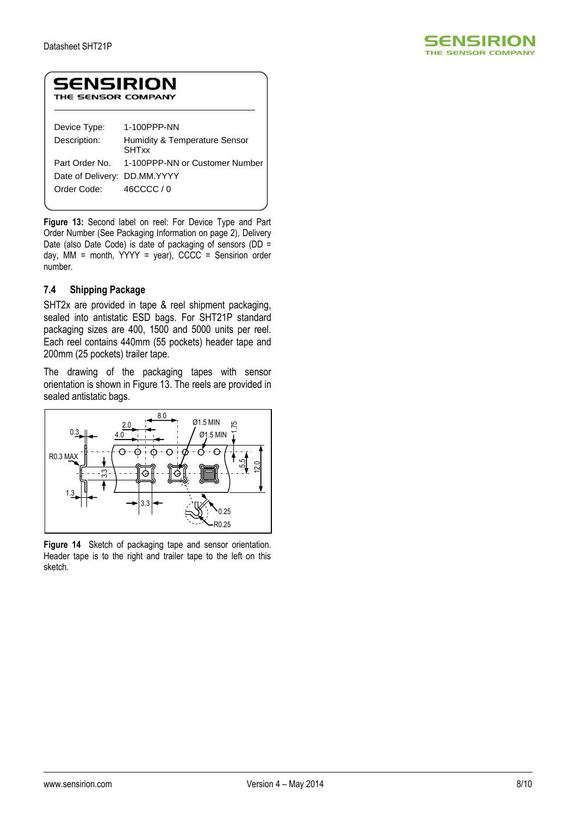

### **SENSIRION** THE SENSOR COMPANY

| Device Type:                 | 1-100PPP-NN                                   |
|------------------------------|-----------------------------------------------|
| Description:                 | Humidity & Temperature Sensor<br><b>SHTxx</b> |
|                              | Part Order No. 1-100PPP-NN or Customer Number |
| Date of Delivery: DD.MM.YYYY |                                               |
| Order Code:                  | 46CCCC / 0                                    |

<span id="page-7-0"></span>**Figure 13:** Second label on reel: For Device Type and Part Order Number (See Packaging Information on page 2), Delivery Date (also Date Code) is date of packaging of sensors (DD = day, MM = month,  $YYYY = year$ ), CCCC = Sensirion order number.

### **7.4 Shipping Package**

SHT2x are provided in tape & reel shipment packaging, sealed into antistatic ESD bags. For SHT21P standard packaging sizes are 400, 1500 and 5000 units per reel. Each reel contains 440mm (55 pockets) header tape and 200mm (25 pockets) trailer tape.

The drawing of the packaging tapes with sensor orientation is shown in Figure 13. The reels are provided in sealed antistatic bags.



**Figure 14** Sketch of packaging tape and sensor orientation. Header tape is to the right and trailer tape to the left on this sketch.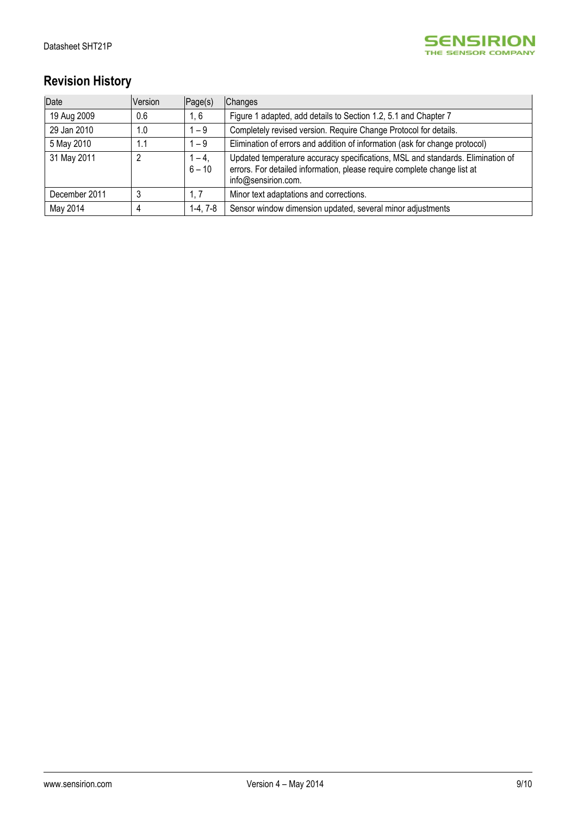

# **Revision History**

| Date          | Version | Page(s)             | Changes                                                                                                                                                                           |
|---------------|---------|---------------------|-----------------------------------------------------------------------------------------------------------------------------------------------------------------------------------|
| 19 Aug 2009   | 0.6     | 1, 6                | Figure 1 adapted, add details to Section 1.2, 5.1 and Chapter 7                                                                                                                   |
| 29 Jan 2010   | 1.0     | -9                  | Completely revised version. Require Change Protocol for details.                                                                                                                  |
| 5 May 2010    | 1.1     | $-9$                | Elimination of errors and addition of information (ask for change protocol)                                                                                                       |
| 31 May 2011   | 2       | $1 - 4$<br>$6 - 10$ | Updated temperature accuracy specifications, MSL and standards. Elimination of<br>errors. For detailed information, please require complete change list at<br>info@sensirion.com. |
| December 2011 | 3       | 1.7                 | Minor text adaptations and corrections.                                                                                                                                           |
| May 2014      | 4       | $1-4, 7-8$          | Sensor window dimension updated, several minor adjustments                                                                                                                        |